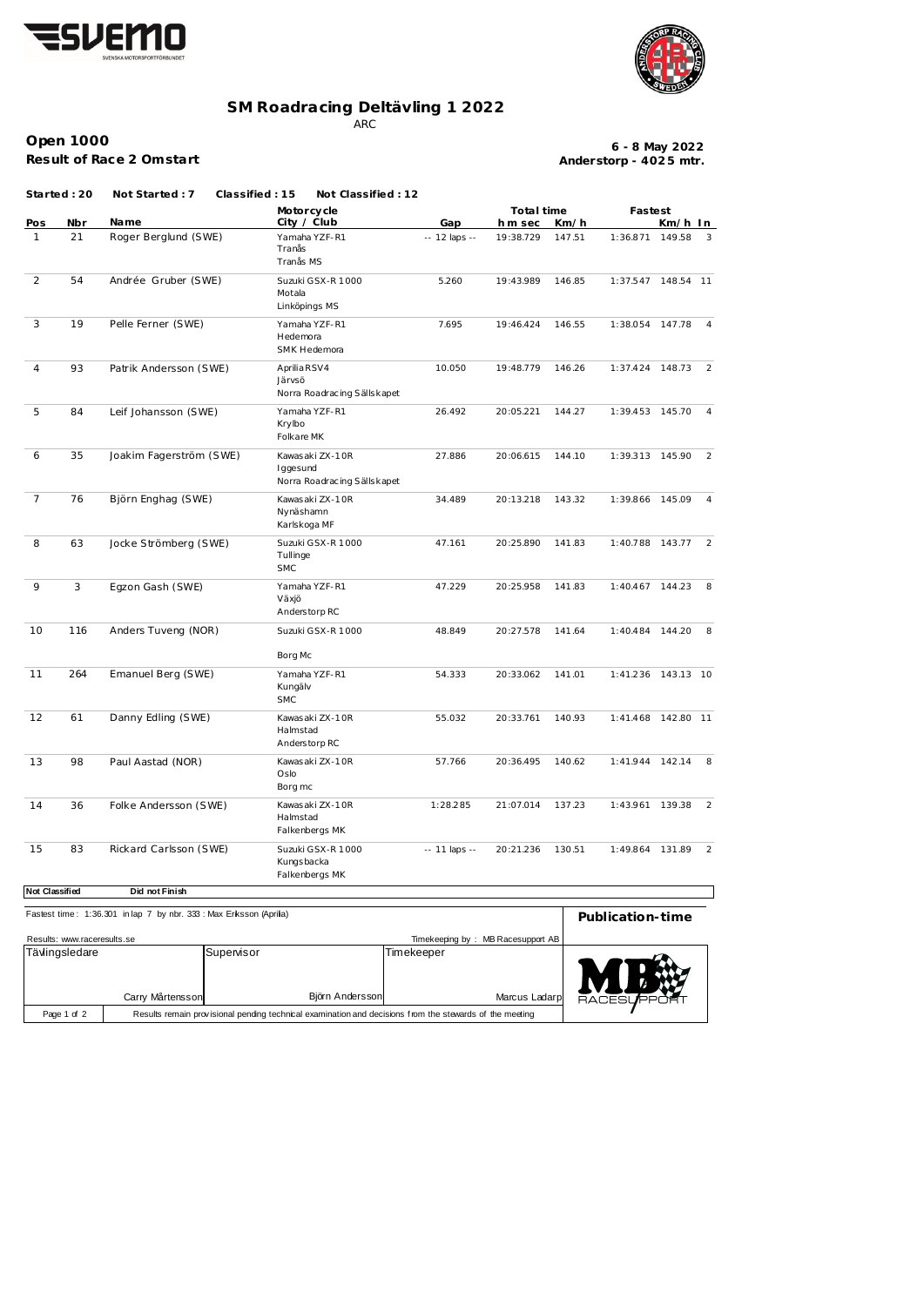



## **SM Roadracing Deltävling 1 2022**

ARC

**Open 1000 Result of Race 2 Omstart**

**Anderstorp - 402 5 mtr. 6 - 8 May 2022**

**Started : 20 Not Started : 7 Classified : 15 Not Classified : 12**

|                       |     |                         | Motorcycle                                                  |               | Total time |        | Fastest         |           |                |
|-----------------------|-----|-------------------------|-------------------------------------------------------------|---------------|------------|--------|-----------------|-----------|----------------|
| Pos                   | Nbr | Name                    | City / Club                                                 | Gap           | h m sec    | Km/h   |                 | Km/h In   |                |
| $\mathbf{1}$          | 21  | Roger Berglund (SWE)    | Yamaha YZF-R1<br>Tranås<br>Tranås MS                        | -- 12 laps -- | 19:38.729  | 147.51 | 1:36.871        | 149.58    | 3              |
| 2                     | 54  | Andrée Gruber (SWE)     | Suzuki GSX-R 1000<br>Motala<br>Linköpings MS                | 5.260         | 19:43.989  | 146.85 | 1:37.547        | 148.54 11 |                |
| 3                     | 19  | Pelle Ferner (SWE)      | Yamaha YZF-R1<br>Hedemora<br>SMK Hedemora                   | 7.695         | 19:46.424  | 146.55 | 1:38.054 147.78 |           | -4             |
| 4                     | 93  | Patrik Andersson (SWE)  | Aprilia RSV4<br>Järvsö<br>Norra Roadracing Sällskapet       | 10.050        | 19:48.779  | 146.26 | 1:37.424        | 148.73    | 2              |
| 5                     | 84  | Leif Johansson (SWE)    | Yamaha YZF-R1<br>Krylbo<br>Folkare MK                       | 26.492        | 20:05.221  | 144.27 | 1:39.453 145.70 |           | 4              |
| 6                     | 35  | Joakim Fagerström (SWE) | Kawas aki ZX-10R<br>Iggesund<br>Norra Roadracing Sällskapet | 27.886        | 20:06.615  | 144.10 | 1:39.313 145.90 |           | 2              |
| 7                     | 76  | Björn Enghag (SWE)      | Kawas aki ZX-10R<br>Nynäshamn<br>Karlskoga MF               | 34.489        | 20:13.218  | 143.32 | 1:39.866 145.09 |           | 4              |
| 8                     | 63  | Jocke Strömberg (SWE)   | Suzuki GSX-R 1000<br>Tullinge<br><b>SMC</b>                 | 47.161        | 20:25.890  | 141.83 | 1:40.788 143.77 |           | 2              |
| 9                     | 3   | Egzon Gash (SWE)        | Yamaha YZF-R1<br>Växjö<br>Anders torp RC                    | 47.229        | 20:25.958  | 141.83 | 1:40.467 144.23 |           | 8              |
| 10                    | 116 | Anders Tuveng (NOR)     | Suzuki GSX-R 1000<br>Borg Mc                                | 48.849        | 20:27.578  | 141.64 | 1:40.484        | 144.20    | 8              |
| 11                    | 264 | Emanuel Berg (SWE)      | Yamaha YZF-R1<br>Kungälv<br><b>SMC</b>                      | 54.333        | 20:33.062  | 141.01 | 1:41.236        | 143.13 10 |                |
| 12                    | 61  | Danny Edling (SWE)      | Kawas aki ZX-10R<br>Halmstad<br>Anderstorp RC               | 55.032        | 20:33.761  | 140.93 | 1:41.468        | 142.80 11 |                |
| $13$                  | 98  | Paul Aastad (NOR)       | Kawas aki ZX-10R<br>Oslo<br>Borg mc                         | 57.766        | 20:36.495  | 140.62 | 1:41.944 142.14 |           |                |
| 14                    | 36  | Folke Andersson (SWE)   | Kawas aki ZX-10R<br>Halmstad<br>Falkenbergs MK              | 1:28.285      | 21:07.014  | 137.23 | 1:43.961 139.38 |           | $\overline{2}$ |
| 15                    | 83  | Rickard Carlsson (SWE)  | Suzuki GSX-R 1000<br>Kungsbacka<br>Falkenbergs MK           | -- 11 laps -- | 20:21.236  | 130.51 | 1:49.864 131.89 |           | $\overline{2}$ |
| <b>Not Classified</b> |     | Did not Finish          |                                                             |               |            |        |                 |           |                |

| Fastest time: 1:36.301 in lap 7 by nbr. 333: Max Eriksson (Aprilia) | Publication-time                                                                                        |                              |                             |                |
|---------------------------------------------------------------------|---------------------------------------------------------------------------------------------------------|------------------------------|-----------------------------|----------------|
|                                                                     |                                                                                                         |                              |                             |                |
| Results: www.raceresults.se                                         | Timekeeping by: MB Racesupport AB                                                                       |                              |                             |                |
| Tävlingsledare                                                      | Carry Mårtensson                                                                                        | Supenisor<br>Björn Andersson | Timekeeper<br>Marcus Ladarp | <b>RACESUF</b> |
| Page 1 of 2                                                         | Results remain provisional pending technical examination and decisions from the stewards of the meeting |                              |                             |                |